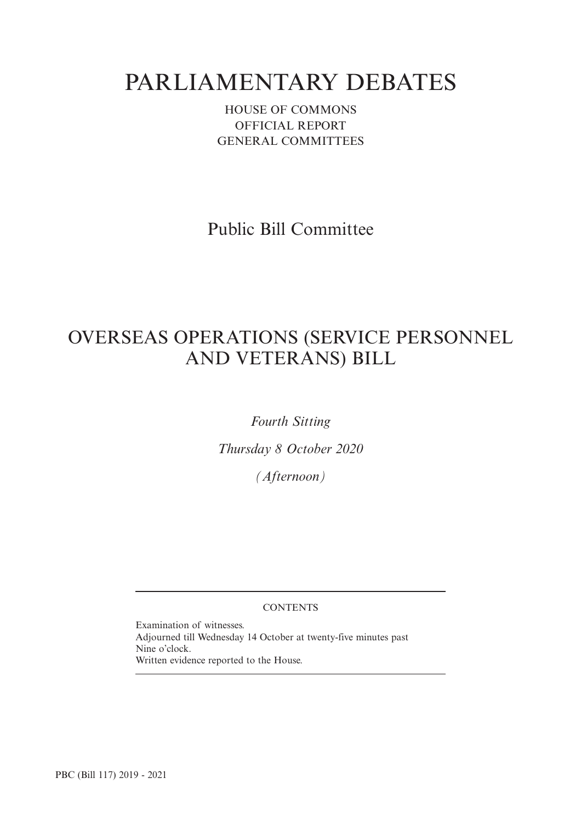# PARLIAMENTARY DEBATES

HOUSE OF COMMONS OFFICIAL REPORT GENERAL COMMITTEES

Public Bill Committee

## OVERSEAS OPERATIONS (SERVICE PERSONNEL AND VETERANS) BILL

*Fourth Sitting*

*Thursday 8 October 2020*

*(Afternoon)*

#### **CONTENTS**

Examination of witnesses. Adjourned till Wednesday 14 October at twenty-five minutes past Nine o'clock. Written evidence reported to the House.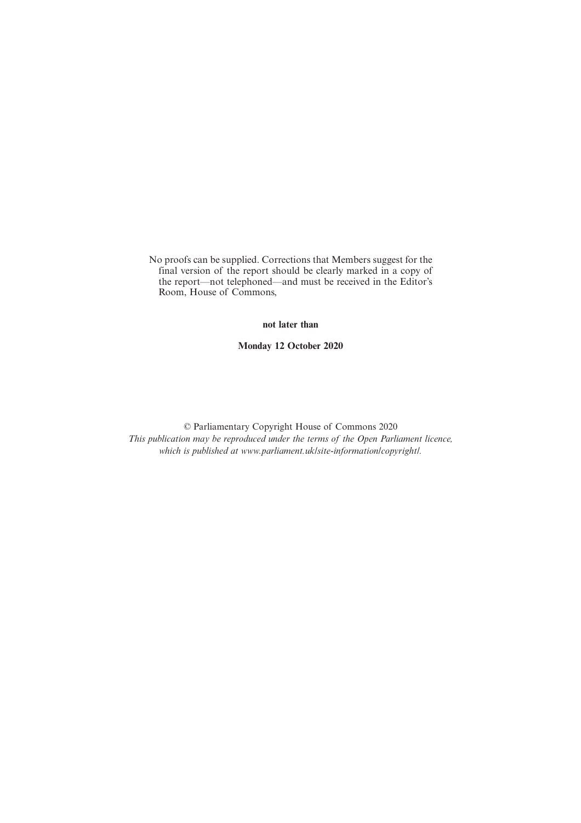No proofs can be supplied. Corrections that Members suggest for the final version of the report should be clearly marked in a copy of the report—not telephoned—and must be received in the Editor's Room, House of Commons,

**not later than**

**Monday 12 October 2020**

© Parliamentary Copyright House of Commons 2020 *This publication may be reproduced under the terms of the Open Parliament licence, which is published at www.parliament.uk/site-information/copyright/.*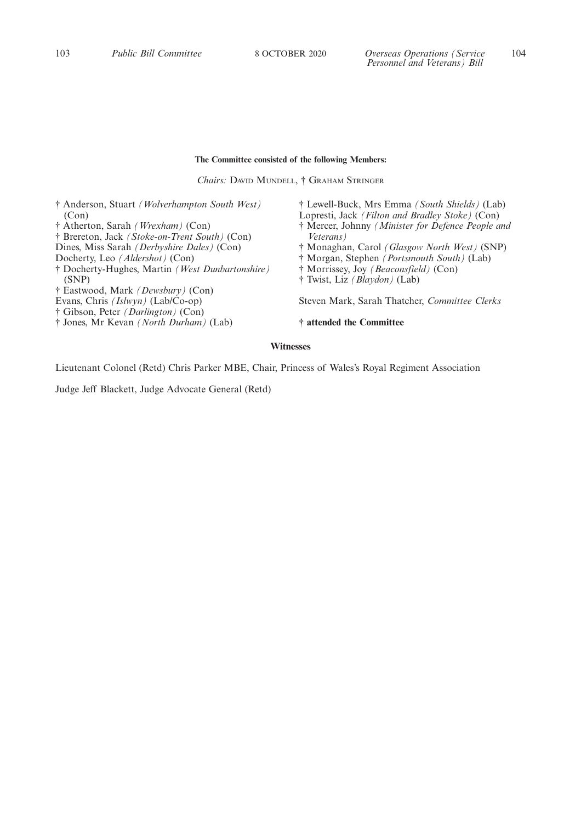## **The Committee consisted of the following Members:**

*Chairs:* DAVID MUNDELL, † GRAHAM STRINGER

† Anderson, Stuart *(Wolverhampton South West)* (Con) † Atherton, Sarah *(Wrexham)* (Con) † Brereton, Jack *(Stoke-on-Trent South)* (Con) Dines, Miss Sarah *(Derbyshire Dales)* (Con) Docherty, Leo *(Aldershot)* (Con) † Docherty-Hughes, Martin *(West Dunbartonshire)* (SNP) † Eastwood, Mark *(Dewsbury)* (Con) Evans, Chris *(Islwyn)* (Lab/Co-op) † Gibson, Peter *(Darlington)* (Con) † Jones, Mr Kevan *(North Durham)* (Lab) † Lewell-Buck, Mrs Emma *(South Shields)* (Lab) Lopresti, Jack *(Filton and Bradley Stoke)* (Con) † Mercer, Johnny *(Minister for Defence People and Veterans)* † Monaghan, Carol *(Glasgow North West)* (SNP) † Morgan, Stephen *(Portsmouth South)* (Lab) † Morrissey, Joy *(Beaconsfield)* (Con) † Twist, Liz *(Blaydon)* (Lab) Steven Mark, Sarah Thatcher, *Committee Clerks* **† attended the Committee**

#### **Witnesses**

Lieutenant Colonel (Retd) Chris Parker MBE, Chair, Princess of Wales's Royal Regiment Association

Judge Jeff Blackett, Judge Advocate General (Retd)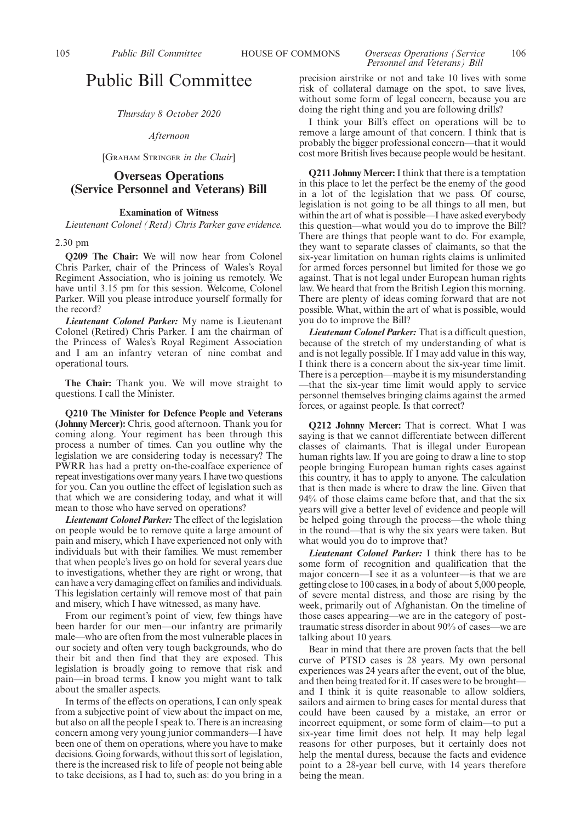## Public Bill Committee

*Thursday 8 October 2020*

*Afternoon*

[GRAHAM STRINGER *in the Chair*]

#### **Overseas Operations (Service Personnel and Veterans) Bill**

#### **Examination of Witness**

*Lieutenant Colonel (Retd) Chris Parker gave evidence.*

#### 2.30 pm

**Q209 The Chair:** We will now hear from Colonel Chris Parker, chair of the Princess of Wales's Royal Regiment Association, who is joining us remotely. We have until 3.15 pm for this session. Welcome, Colonel Parker. Will you please introduce yourself formally for the record?

*Lieutenant Colonel Parker:* My name is Lieutenant Colonel (Retired) Chris Parker. I am the chairman of the Princess of Wales's Royal Regiment Association and I am an infantry veteran of nine combat and operational tours.

**The Chair:** Thank you. We will move straight to questions. I call the Minister.

**Q210 The Minister for Defence People and Veterans (Johnny Mercer):** Chris, good afternoon. Thank you for coming along. Your regiment has been through this process a number of times. Can you outline why the legislation we are considering today is necessary? The PWRR has had a pretty on-the-coalface experience of repeat investigations over many years. I have two questions for you. Can you outline the effect of legislation such as that which we are considering today, and what it will mean to those who have served on operations?

*Lieutenant Colonel Parker:* The effect of the legislation on people would be to remove quite a large amount of pain and misery, which I have experienced not only with individuals but with their families. We must remember that when people's lives go on hold for several years due to investigations, whether they are right or wrong, that can have a very damaging effect on families and individuals. This legislation certainly will remove most of that pain and misery, which I have witnessed, as many have.

From our regiment's point of view, few things have been harder for our men—our infantry are primarily male—who are often from the most vulnerable places in our society and often very tough backgrounds, who do their bit and then find that they are exposed. This legislation is broadly going to remove that risk and pain—in broad terms. I know you might want to talk about the smaller aspects.

In terms of the effects on operations, I can only speak from a subjective point of view about the impact on me, but also on all the people I speak to. There is an increasing concern among very young junior commanders—I have been one of them on operations, where you have to make decisions. Going forwards, without this sort of legislation, there is the increased risk to life of people not being able to take decisions, as I had to, such as: do you bring in a

precision airstrike or not and take 10 lives with some risk of collateral damage on the spot, to save lives, without some form of legal concern, because you are doing the right thing and you are following drills?

I think your Bill's effect on operations will be to remove a large amount of that concern. I think that is probably the bigger professional concern—that it would cost more British lives because people would be hesitant.

**Q211 Johnny Mercer:**I think that there is a temptation in this place to let the perfect be the enemy of the good in a lot of the legislation that we pass. Of course, legislation is not going to be all things to all men, but within the art of what is possible—I have asked everybody this question—what would you do to improve the Bill? There are things that people want to do. For example, they want to separate classes of claimants, so that the six-year limitation on human rights claims is unlimited for armed forces personnel but limited for those we go against. That is not legal under European human rights law. We heard that from the British Legion this morning. There are plenty of ideas coming forward that are not possible. What, within the art of what is possible, would you do to improve the Bill?

*Lieutenant Colonel Parker:* That is a difficult question, because of the stretch of my understanding of what is and is not legally possible. If I may add value in this way, I think there is a concern about the six-year time limit. There is a perception—maybe it is my misunderstanding —that the six-year time limit would apply to service personnel themselves bringing claims against the armed forces, or against people. Is that correct?

**Q212 Johnny Mercer:** That is correct. What I was saying is that we cannot differentiate between different classes of claimants. That is illegal under European human rights law. If you are going to draw a line to stop people bringing European human rights cases against this country, it has to apply to anyone. The calculation that is then made is where to draw the line. Given that 94% of those claims came before that, and that the six years will give a better level of evidence and people will be helped going through the process—the whole thing in the round—that is why the six years were taken. But what would you do to improve that?

*Lieutenant Colonel Parker:* I think there has to be some form of recognition and qualification that the major concern—I see it as a volunteer—is that we are getting close to 100 cases, in a body of about 5,000 people, of severe mental distress, and those are rising by the week, primarily out of Afghanistan. On the timeline of those cases appearing—we are in the category of posttraumatic stress disorder in about 90% of cases—we are talking about 10 years.

Bear in mind that there are proven facts that the bell curve of PTSD cases is 28 years. My own personal experiences was 24 years after the event, out of the blue, and then being treated for it. If cases were to be brought and I think it is quite reasonable to allow soldiers, sailors and airmen to bring cases for mental duress that could have been caused by a mistake, an error or incorrect equipment, or some form of claim—to put a six-year time limit does not help. It may help legal reasons for other purposes, but it certainly does not help the mental duress, because the facts and evidence point to a 28-year bell curve, with 14 years therefore being the mean.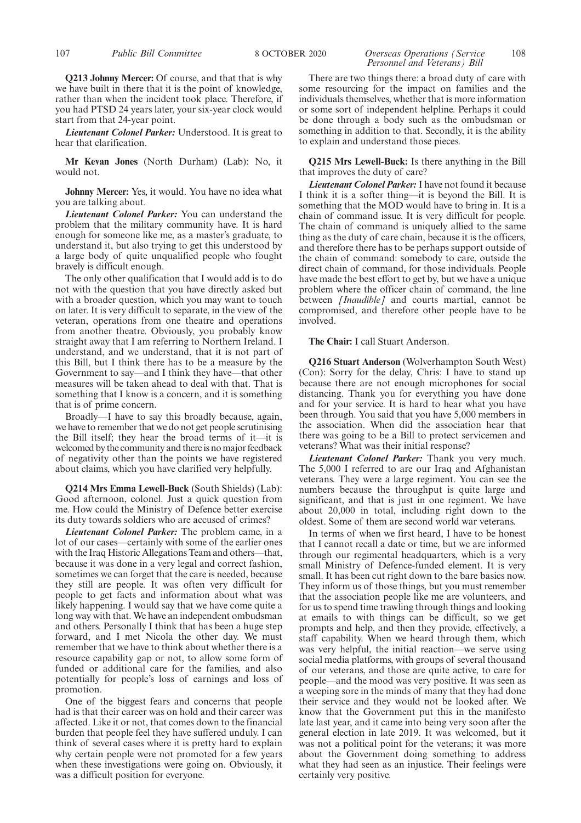**Q213 Johnny Mercer:** Of course, and that that is why we have built in there that it is the point of knowledge, rather than when the incident took place. Therefore, if you had PTSD 24 years later, your six-year clock would start from that 24-year point.

*Lieutenant Colonel Parker:* Understood. It is great to hear that clarification.

**Mr Kevan Jones** (North Durham) (Lab): No, it would not.

**Johnny Mercer:** Yes, it would. You have no idea what you are talking about.

*Lieutenant Colonel Parker:* You can understand the problem that the military community have. It is hard enough for someone like me, as a master's graduate, to understand it, but also trying to get this understood by a large body of quite unqualified people who fought bravely is difficult enough.

The only other qualification that I would add is to do not with the question that you have directly asked but with a broader question, which you may want to touch on later. It is very difficult to separate, in the view of the veteran, operations from one theatre and operations from another theatre. Obviously, you probably know straight away that I am referring to Northern Ireland. I understand, and we understand, that it is not part of this Bill, but I think there has to be a measure by the Government to say—and I think they have—that other measures will be taken ahead to deal with that. That is something that I know is a concern, and it is something that is of prime concern.

Broadly—I have to say this broadly because, again, we have to remember that we do not get people scrutinising the Bill itself; they hear the broad terms of it—it is welcomed by the community and there is no major feedback of negativity other than the points we have registered about claims, which you have clarified very helpfully.

**Q214 Mrs Emma Lewell-Buck** (South Shields) (Lab): Good afternoon, colonel. Just a quick question from me. How could the Ministry of Defence better exercise its duty towards soldiers who are accused of crimes?

*Lieutenant Colonel Parker:* The problem came, in a lot of our cases—certainly with some of the earlier ones with the Iraq Historic Allegations Team and others—that, because it was done in a very legal and correct fashion, sometimes we can forget that the care is needed, because they still are people. It was often very difficult for people to get facts and information about what was likely happening. I would say that we have come quite a long way with that. We have an independent ombudsman and others. Personally I think that has been a huge step forward, and I met Nicola the other day. We must remember that we have to think about whether there is a resource capability gap or not, to allow some form of funded or additional care for the families, and also potentially for people's loss of earnings and loss of promotion.

One of the biggest fears and concerns that people had is that their career was on hold and their career was affected. Like it or not, that comes down to the financial burden that people feel they have suffered unduly. I can think of several cases where it is pretty hard to explain why certain people were not promoted for a few years when these investigations were going on. Obviously, it was a difficult position for everyone.

## *Personnel and Veterans) Bill*

There are two things there: a broad duty of care with some resourcing for the impact on families and the individuals themselves, whether that is more information or some sort of independent helpline. Perhaps it could be done through a body such as the ombudsman or something in addition to that. Secondly, it is the ability to explain and understand those pieces.

**Q215 Mrs Lewell-Buck:** Is there anything in the Bill that improves the duty of care?

*Lieutenant Colonel Parker:*I have not found it because I think it is a softer thing—it is beyond the Bill. It is something that the MOD would have to bring in. It is a chain of command issue. It is very difficult for people. The chain of command is uniquely allied to the same thing as the duty of care chain, because it is the officers, and therefore there has to be perhaps support outside of the chain of command: somebody to care, outside the direct chain of command, for those individuals. People have made the best effort to get by, but we have a unique problem where the officer chain of command, the line between *[Inaudible]* and courts martial, cannot be compromised, and therefore other people have to be involved.

**The Chair:** I call Stuart Anderson.

**Q216 Stuart Anderson** (Wolverhampton South West) (Con): Sorry for the delay, Chris: I have to stand up because there are not enough microphones for social distancing. Thank you for everything you have done and for your service. It is hard to hear what you have been through. You said that you have 5,000 members in the association. When did the association hear that there was going to be a Bill to protect servicemen and veterans? What was their initial response?

*Lieutenant Colonel Parker:* Thank you very much. The 5,000 I referred to are our Iraq and Afghanistan veterans. They were a large regiment. You can see the numbers because the throughput is quite large and significant, and that is just in one regiment. We have about 20,000 in total, including right down to the oldest. Some of them are second world war veterans.

In terms of when we first heard, I have to be honest that I cannot recall a date or time, but we are informed through our regimental headquarters, which is a very small Ministry of Defence-funded element. It is very small. It has been cut right down to the bare basics now. They inform us of those things, but you must remember that the association people like me are volunteers, and for us to spend time trawling through things and looking at emails to with things can be difficult, so we get prompts and help, and then they provide, effectively, a staff capability. When we heard through them, which was very helpful, the initial reaction—we serve using social media platforms, with groups of several thousand of our veterans, and those are quite active, to care for people—and the mood was very positive. It was seen as a weeping sore in the minds of many that they had done their service and they would not be looked after. We know that the Government put this in the manifesto late last year, and it came into being very soon after the general election in late 2019. It was welcomed, but it was not a political point for the veterans; it was more about the Government doing something to address what they had seen as an injustice. Their feelings were certainly very positive.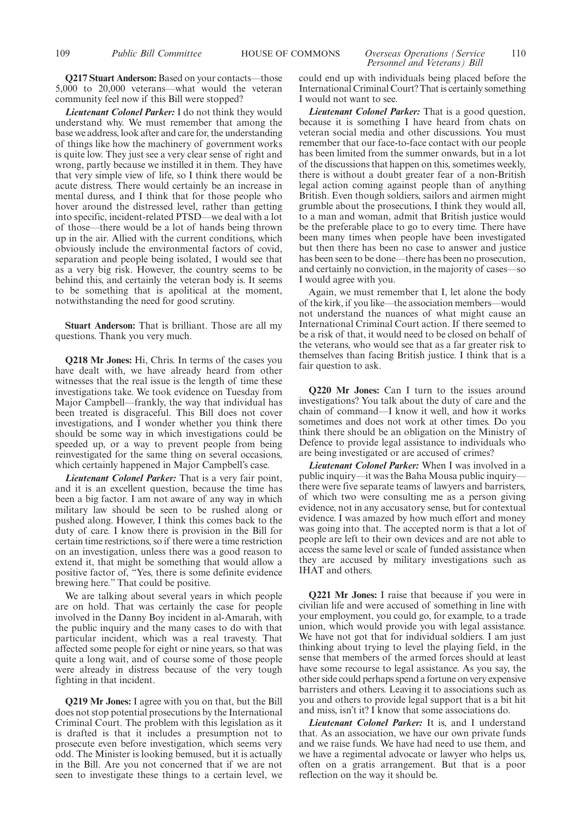#### 109 *Public Bill Committee* HOUSE OF COMMONS *Overseas Operations (Service* 110 *Personnel and Veterans) Bill*

**Q217 Stuart Anderson:** Based on your contacts—those 5,000 to 20,000 veterans—what would the veteran community feel now if this Bill were stopped?

*Lieutenant Colonel Parker:* I do not think they would understand why. We must remember that among the base we address, look after and care for, the understanding of things like how the machinery of government works is quite low. They just see a very clear sense of right and wrong, partly because we instilled it in them. They have that very simple view of life, so I think there would be acute distress. There would certainly be an increase in mental duress, and I think that for those people who hover around the distressed level, rather than getting into specific, incident-related PTSD—we deal with a lot of those—there would be a lot of hands being thrown up in the air. Allied with the current conditions, which obviously include the environmental factors of covid, separation and people being isolated, I would see that as a very big risk. However, the country seems to be behind this, and certainly the veteran body is. It seems to be something that is apolitical at the moment, notwithstanding the need for good scrutiny.

**Stuart Anderson:** That is brilliant. Those are all my questions. Thank you very much.

**Q218 Mr Jones:** Hi, Chris. In terms of the cases you have dealt with, we have already heard from other witnesses that the real issue is the length of time these investigations take. We took evidence on Tuesday from Major Campbell—frankly, the way that individual has been treated is disgraceful. This Bill does not cover investigations, and I wonder whether you think there should be some way in which investigations could be speeded up, or a way to prevent people from being reinvestigated for the same thing on several occasions, which certainly happened in Major Campbell's case.

*Lieutenant Colonel Parker:* That is a very fair point, and it is an excellent question, because the time has been a big factor. I am not aware of any way in which military law should be seen to be rushed along or pushed along. However, I think this comes back to the duty of care. I know there is provision in the Bill for certain time restrictions, so if there were a time restriction on an investigation, unless there was a good reason to extend it, that might be something that would allow a positive factor of, "Yes, there is some definite evidence brewing here." That could be positive.

We are talking about several years in which people are on hold. That was certainly the case for people involved in the Danny Boy incident in al-Amarah, with the public inquiry and the many cases to do with that particular incident, which was a real travesty. That affected some people for eight or nine years, so that was quite a long wait, and of course some of those people were already in distress because of the very tough fighting in that incident.

**Q219 Mr Jones:** I agree with you on that, but the Bill does not stop potential prosecutions by the International Criminal Court. The problem with this legislation as it is drafted is that it includes a presumption not to prosecute even before investigation, which seems very odd. The Minister is looking bemused, but it is actually in the Bill. Are you not concerned that if we are not seen to investigate these things to a certain level, we could end up with individuals being placed before the International Criminal Court? That is certainly something I would not want to see.

*Lieutenant Colonel Parker:* That is a good question, because it is something I have heard from chats on veteran social media and other discussions. You must remember that our face-to-face contact with our people has been limited from the summer onwards, but in a lot of the discussions that happen on this, sometimes weekly, there is without a doubt greater fear of a non-British legal action coming against people than of anything British. Even though soldiers, sailors and airmen might grumble about the prosecutions, I think they would all, to a man and woman, admit that British justice would be the preferable place to go to every time. There have been many times when people have been investigated but then there has been no case to answer and justice has been seen to be done—there has been no prosecution, and certainly no conviction, in the majority of cases—so I would agree with you.

Again, we must remember that I, let alone the body of the kirk, if you like—the association members—would not understand the nuances of what might cause an International Criminal Court action. If there seemed to be a risk of that, it would need to be closed on behalf of the veterans, who would see that as a far greater risk to themselves than facing British justice. I think that is a fair question to ask.

**Q220 Mr Jones:** Can I turn to the issues around investigations? You talk about the duty of care and the chain of command—I know it well, and how it works sometimes and does not work at other times. Do you think there should be an obligation on the Ministry of Defence to provide legal assistance to individuals who are being investigated or are accused of crimes?

*Lieutenant Colonel Parker:* When I was involved in a public inquiry—it was the Baha Mousa public inquiry there were five separate teams of lawyers and barristers, of which two were consulting me as a person giving evidence, not in any accusatory sense, but for contextual evidence. I was amazed by how much effort and money was going into that. The accepted norm is that a lot of people are left to their own devices and are not able to access the same level or scale of funded assistance when they are accused by military investigations such as IHAT and others.

**Q221 Mr Jones:** I raise that because if you were in civilian life and were accused of something in line with your employment, you could go, for example, to a trade union, which would provide you with legal assistance. We have not got that for individual soldiers. I am just thinking about trying to level the playing field, in the sense that members of the armed forces should at least have some recourse to legal assistance. As you say, the other side could perhaps spend a fortune on very expensive barristers and others. Leaving it to associations such as you and others to provide legal support that is a bit hit and miss, isn't it? I know that some associations do.

*Lieutenant Colonel Parker:* It is, and I understand that. As an association, we have our own private funds and we raise funds. We have had need to use them, and we have a regimental advocate or lawyer who helps us, often on a gratis arrangement. But that is a poor reflection on the way it should be.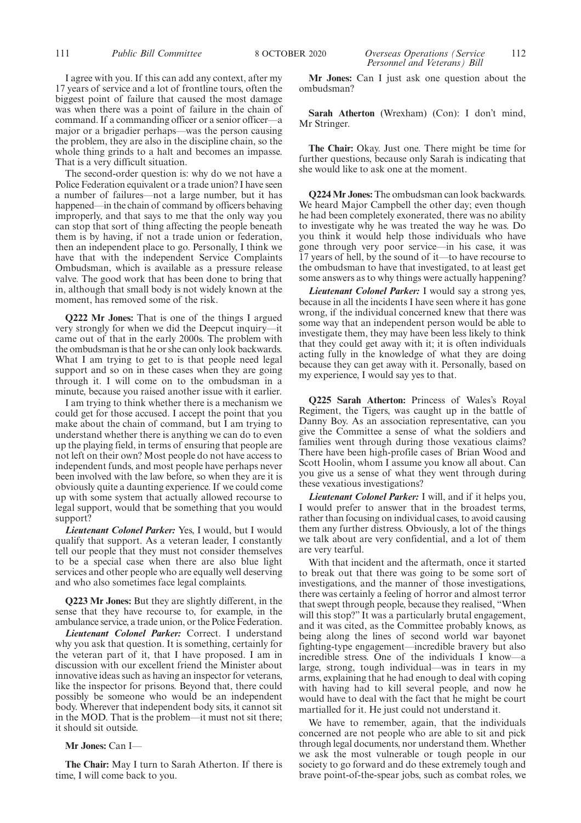I agree with you. If this can add any context, after my 17 years of service and a lot of frontline tours, often the biggest point of failure that caused the most damage was when there was a point of failure in the chain of command. If a commanding officer or a senior officer—a major or a brigadier perhaps—was the person causing the problem, they are also in the discipline chain, so the whole thing grinds to a halt and becomes an impasse. That is a very difficult situation.

The second-order question is: why do we not have a Police Federation equivalent or a trade union? I have seen a number of failures—not a large number, but it has happened—in the chain of command by officers behaving improperly, and that says to me that the only way you can stop that sort of thing affecting the people beneath them is by having, if not a trade union or federation, then an independent place to go. Personally, I think we have that with the independent Service Complaints Ombudsman, which is available as a pressure release valve. The good work that has been done to bring that in, although that small body is not widely known at the moment, has removed some of the risk.

**Q222 Mr Jones:** That is one of the things I argued very strongly for when we did the Deepcut inquiry—it came out of that in the early 2000s. The problem with the ombudsman is that he or she can only look backwards. What I am trying to get to is that people need legal support and so on in these cases when they are going through it. I will come on to the ombudsman in a minute, because you raised another issue with it earlier.

I am trying to think whether there is a mechanism we could get for those accused. I accept the point that you make about the chain of command, but I am trying to understand whether there is anything we can do to even up the playing field, in terms of ensuring that people are not left on their own? Most people do not have access to independent funds, and most people have perhaps never been involved with the law before, so when they are it is obviously quite a daunting experience. If we could come up with some system that actually allowed recourse to legal support, would that be something that you would support?

*Lieutenant Colonel Parker:* Yes, I would, but I would qualify that support. As a veteran leader, I constantly tell our people that they must not consider themselves to be a special case when there are also blue light services and other people who are equally well deserving and who also sometimes face legal complaints.

**Q223 Mr Jones:** But they are slightly different, in the sense that they have recourse to, for example, in the ambulance service, a trade union, or the Police Federation.

*Lieutenant Colonel Parker:* Correct. I understand why you ask that question. It is something, certainly for the veteran part of it, that I have proposed. I am in discussion with our excellent friend the Minister about innovative ideas such as having an inspector for veterans, like the inspector for prisons. Beyond that, there could possibly be someone who would be an independent body. Wherever that independent body sits, it cannot sit in the MOD. That is the problem—it must not sit there; it should sit outside.

#### **Mr Jones:** Can I—

**The Chair:** May I turn to Sarah Atherton. If there is time, I will come back to you.

**Sarah Atherton** (Wrexham) (Con): I don't mind, Mr Stringer.

**The Chair:** Okay. Just one. There might be time for further questions, because only Sarah is indicating that she would like to ask one at the moment.

**Q224 Mr Jones:** The ombudsman can look backwards. We heard Major Campbell the other day; even though he had been completely exonerated, there was no ability to investigate why he was treated the way he was. Do you think it would help those individuals who have gone through very poor service—in his case, it was 17 years of hell, by the sound of it—to have recourse to the ombudsman to have that investigated, to at least get some answers as to why things were actually happening?

*Lieutenant Colonel Parker:* I would say a strong yes, because in all the incidents I have seen where it has gone wrong, if the individual concerned knew that there was some way that an independent person would be able to investigate them, they may have been less likely to think that they could get away with it; it is often individuals acting fully in the knowledge of what they are doing because they can get away with it. Personally, based on my experience, I would say yes to that.

**Q225 Sarah Atherton:** Princess of Wales's Royal Regiment, the Tigers, was caught up in the battle of Danny Boy. As an association representative, can you give the Committee a sense of what the soldiers and families went through during those vexatious claims? There have been high-profile cases of Brian Wood and Scott Hoolin, whom I assume you know all about. Can you give us a sense of what they went through during these vexatious investigations?

*Lieutenant Colonel Parker:* I will, and if it helps you, I would prefer to answer that in the broadest terms, rather than focusing on individual cases, to avoid causing them any further distress. Obviously, a lot of the things we talk about are very confidential, and a lot of them are very tearful.

With that incident and the aftermath, once it started to break out that there was going to be some sort of investigations, and the manner of those investigations, there was certainly a feeling of horror and almost terror that swept through people, because they realised, "When will this stop?" It was a particularly brutal engagement, and it was cited, as the Committee probably knows, as being along the lines of second world war bayonet fighting-type engagement—incredible bravery but also incredible stress. One of the individuals I know—a large, strong, tough individual—was in tears in my arms, explaining that he had enough to deal with coping with having had to kill several people, and now he would have to deal with the fact that he might be court martialled for it. He just could not understand it.

We have to remember, again, that the individuals concerned are not people who are able to sit and pick through legal documents, nor understand them. Whether we ask the most vulnerable or tough people in our society to go forward and do these extremely tough and brave point-of-the-spear jobs, such as combat roles, we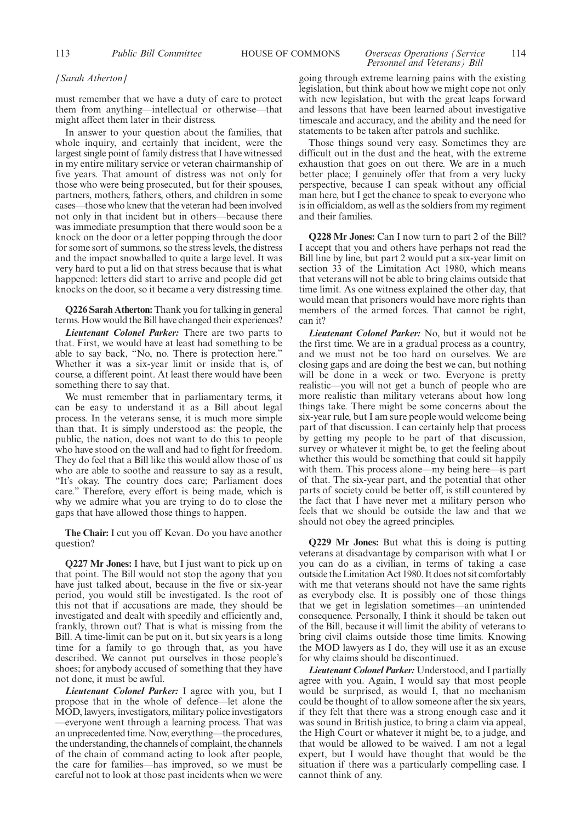#### 113 *Public Bill Committee* HOUSE OF COMMONS *Overseas Operations (Service* 114 *Personnel and Veterans) Bill*

#### *[Sarah Atherton]*

must remember that we have a duty of care to protect them from anything—intellectual or otherwise—that might affect them later in their distress.

In answer to your question about the families, that whole inquiry, and certainly that incident, were the largest single point of family distress that I have witnessed in my entire military service or veteran chairmanship of five years. That amount of distress was not only for those who were being prosecuted, but for their spouses, partners, mothers, fathers, others, and children in some cases—those who knew that the veteran had been involved not only in that incident but in others—because there was immediate presumption that there would soon be a knock on the door or a letter popping through the door for some sort of summons, so the stress levels, the distress and the impact snowballed to quite a large level. It was very hard to put a lid on that stress because that is what happened: letters did start to arrive and people did get knocks on the door, so it became a very distressing time.

**Q226 Sarah Atherton:** Thank you for talking in general terms. How would the Bill have changed their experiences?

*Lieutenant Colonel Parker:* There are two parts to that. First, we would have at least had something to be able to say back, "No, no. There is protection here." Whether it was a six-year limit or inside that is, of course, a different point. At least there would have been something there to say that.

We must remember that in parliamentary terms, it can be easy to understand it as a Bill about legal process. In the veterans sense, it is much more simple than that. It is simply understood as: the people, the public, the nation, does not want to do this to people who have stood on the wall and had to fight for freedom. They do feel that a Bill like this would allow those of us who are able to soothe and reassure to say as a result, "It's okay. The country does care; Parliament does care." Therefore, every effort is being made, which is why we admire what you are trying to do to close the gaps that have allowed those things to happen.

**The Chair:** I cut you off Kevan. Do you have another question?

**Q227 Mr Jones:** I have, but I just want to pick up on that point. The Bill would not stop the agony that you have just talked about, because in the five or six-year period, you would still be investigated. Is the root of this not that if accusations are made, they should be investigated and dealt with speedily and efficiently and, frankly, thrown out? That is what is missing from the Bill. A time-limit can be put on it, but six years is a long time for a family to go through that, as you have described. We cannot put ourselves in those people's shoes; for anybody accused of something that they have not done, it must be awful.

*Lieutenant Colonel Parker:* I agree with you, but I propose that in the whole of defence—let alone the MOD, lawyers, investigators, military police investigators —everyone went through a learning process. That was an unprecedented time. Now, everything—the procedures, the understanding, the channels of complaint, the channels of the chain of command acting to look after people, the care for families—has improved, so we must be careful not to look at those past incidents when we were going through extreme learning pains with the existing legislation, but think about how we might cope not only with new legislation, but with the great leaps forward and lessons that have been learned about investigative timescale and accuracy, and the ability and the need for statements to be taken after patrols and suchlike.

Those things sound very easy. Sometimes they are difficult out in the dust and the heat, with the extreme exhaustion that goes on out there. We are in a much better place; I genuinely offer that from a very lucky perspective, because I can speak without any official man here, but I get the chance to speak to everyone who is in officialdom, as well as the soldiers from my regiment and their families.

**Q228 Mr Jones:** Can I now turn to part 2 of the Bill? I accept that you and others have perhaps not read the Bill line by line, but part 2 would put a six-year limit on section 33 of the Limitation Act 1980, which means that veterans will not be able to bring claims outside that time limit. As one witness explained the other day, that would mean that prisoners would have more rights than members of the armed forces. That cannot be right, can it?

*Lieutenant Colonel Parker:* No, but it would not be the first time. We are in a gradual process as a country, and we must not be too hard on ourselves. We are closing gaps and are doing the best we can, but nothing will be done in a week or two. Everyone is pretty realistic—you will not get a bunch of people who are more realistic than military veterans about how long things take. There might be some concerns about the six-year rule, but I am sure people would welcome being part of that discussion. I can certainly help that process by getting my people to be part of that discussion, survey or whatever it might be, to get the feeling about whether this would be something that could sit happily with them. This process alone—my being here—is part of that. The six-year part, and the potential that other parts of society could be better off, is still countered by the fact that I have never met a military person who feels that we should be outside the law and that we should not obey the agreed principles.

**Q229 Mr Jones:** But what this is doing is putting veterans at disadvantage by comparison with what I or you can do as a civilian, in terms of taking a case outside the Limitation Act 1980. It does not sit comfortably with me that veterans should not have the same rights as everybody else. It is possibly one of those things that we get in legislation sometimes—an unintended consequence. Personally, I think it should be taken out of the Bill, because it will limit the ability of veterans to bring civil claims outside those time limits. Knowing the MOD lawyers as I do, they will use it as an excuse for why claims should be discontinued.

*Lieutenant Colonel Parker:* Understood, and I partially agree with you. Again, I would say that most people would be surprised, as would I, that no mechanism could be thought of to allow someone after the six years, if they felt that there was a strong enough case and it was sound in British justice, to bring a claim via appeal, the High Court or whatever it might be, to a judge, and that would be allowed to be waived. I am not a legal expert, but I would have thought that would be the situation if there was a particularly compelling case. I cannot think of any.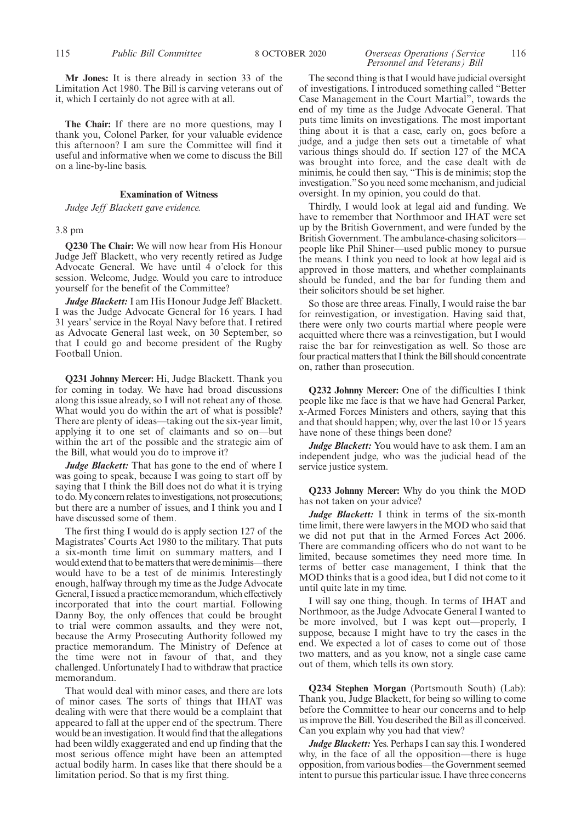**Mr Jones:** It is there already in section 33 of the Limitation Act 1980. The Bill is carving veterans out of it, which I certainly do not agree with at all.

**The Chair:** If there are no more questions, may I thank you, Colonel Parker, for your valuable evidence this afternoon? I am sure the Committee will find it useful and informative when we come to discuss the Bill on a line-by-line basis.

#### **Examination of Witness**

*Judge Jeff Blackett gave evidence.*

#### 3.8 pm

**Q230 The Chair:** We will now hear from His Honour Judge Jeff Blackett, who very recently retired as Judge Advocate General. We have until 4 o'clock for this session. Welcome, Judge. Would you care to introduce yourself for the benefit of the Committee?

*Judge Blackett:* I am His Honour Judge Jeff Blackett. I was the Judge Advocate General for 16 years. I had 31 years' service in the Royal Navy before that. I retired as Advocate General last week, on 30 September, so that I could go and become president of the Rugby Football Union.

**Q231 Johnny Mercer:** Hi, Judge Blackett. Thank you for coming in today. We have had broad discussions along this issue already, so I will not reheat any of those. What would you do within the art of what is possible? There are plenty of ideas—taking out the six-year limit, applying it to one set of claimants and so on—but within the art of the possible and the strategic aim of the Bill, what would you do to improve it?

*Judge Blackett:* That has gone to the end of where I was going to speak, because I was going to start off by saying that I think the Bill does not do what it is trying to do. My concern relates to investigations, not prosecutions; but there are a number of issues, and I think you and I have discussed some of them.

The first thing I would do is apply section 127 of the Magistrates' Courts Act 1980 to the military. That puts a six-month time limit on summary matters, and I would extend that to be matters that were de minimis—there would have to be a test of de minimis. Interestingly enough, halfway through my time as the Judge Advocate General, I issued a practice memorandum, which effectively incorporated that into the court martial. Following Danny Boy, the only offences that could be brought to trial were common assaults, and they were not, because the Army Prosecuting Authority followed my practice memorandum. The Ministry of Defence at the time were not in favour of that, and they challenged. Unfortunately I had to withdraw that practice memorandum.

That would deal with minor cases, and there are lots of minor cases. The sorts of things that IHAT was dealing with were that there would be a complaint that appeared to fall at the upper end of the spectrum. There would be an investigation. It would find that the allegations had been wildly exaggerated and end up finding that the most serious offence might have been an attempted actual bodily harm. In cases like that there should be a limitation period. So that is my first thing.

#### 115 *Public Bill Committee* 8 OCTOBER 2020 *Overseas Operations (Service* 116 *Personnel and Veterans) Bill*

The second thing is that I would have judicial oversight of investigations. I introduced something called "Better Case Management in the Court Martial", towards the end of my time as the Judge Advocate General. That puts time limits on investigations. The most important thing about it is that a case, early on, goes before a judge, and a judge then sets out a timetable of what various things should do. If section 127 of the MCA was brought into force, and the case dealt with de minimis, he could then say, "This is de minimis; stop the investigation."So you need some mechanism, and judicial oversight. In my opinion, you could do that.

Thirdly, I would look at legal aid and funding. We have to remember that Northmoor and IHAT were set up by the British Government, and were funded by the British Government. The ambulance-chasing solicitors people like Phil Shiner—used public money to pursue the means. I think you need to look at how legal aid is approved in those matters, and whether complainants should be funded, and the bar for funding them and their solicitors should be set higher.

So those are three areas. Finally, I would raise the bar for reinvestigation, or investigation. Having said that, there were only two courts martial where people were acquitted where there was a reinvestigation, but I would raise the bar for reinvestigation as well. So those are four practical matters that I think the Bill should concentrate on, rather than prosecution.

**Q232 Johnny Mercer:** One of the difficulties I think people like me face is that we have had General Parker, x-Armed Forces Ministers and others, saying that this and that should happen; why, over the last 10 or 15 years have none of these things been done?

*Judge Blackett:* You would have to ask them. I am an independent judge, who was the judicial head of the service justice system.

**Q233 Johnny Mercer:** Why do you think the MOD has not taken on your advice?

*Judge Blackett:* I think in terms of the six-month time limit, there were lawyers in the MOD who said that we did not put that in the Armed Forces Act 2006. There are commanding officers who do not want to be limited, because sometimes they need more time. In terms of better case management, I think that the MOD thinks that is a good idea, but I did not come to it until quite late in my time.

I will say one thing, though. In terms of IHAT and Northmoor, as the Judge Advocate General I wanted to be more involved, but I was kept out—properly, I suppose, because I might have to try the cases in the end. We expected a lot of cases to come out of those two matters, and as you know, not a single case came out of them, which tells its own story.

**Q234 Stephen Morgan** (Portsmouth South) (Lab): Thank you, Judge Blackett, for being so willing to come before the Committee to hear our concerns and to help us improve the Bill. You described the Bill as ill conceived. Can you explain why you had that view?

*Judge Blackett:* Yes. Perhaps I can say this. I wondered why, in the face of all the opposition—there is huge opposition, from various bodies—the Government seemed intent to pursue this particular issue. I have three concerns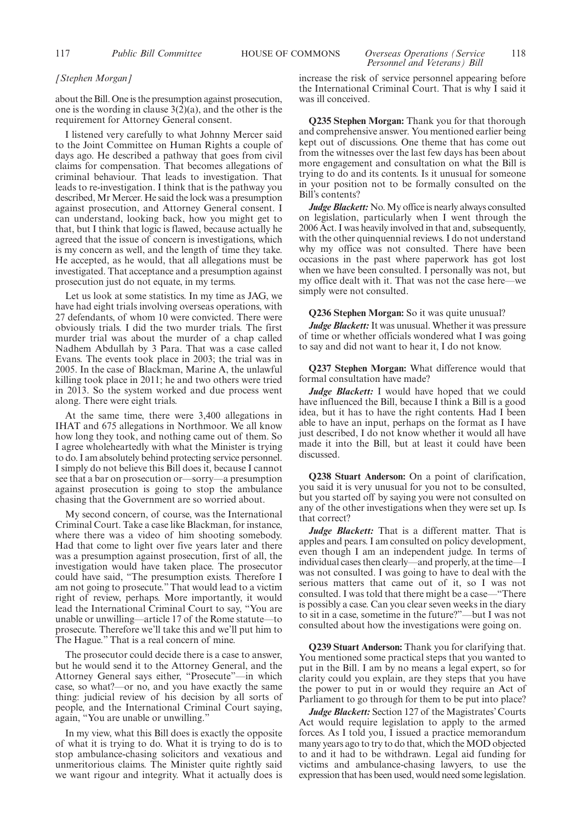#### 117 *Public Bill Committee* HOUSE OF COMMONS *Overseas Operations (Service* 118 *Personnel and Veterans) Bill*

#### *[Stephen Morgan]*

about the Bill. One is the presumption against prosecution, one is the wording in clause  $3(2)(a)$ , and the other is the requirement for Attorney General consent.

I listened very carefully to what Johnny Mercer said to the Joint Committee on Human Rights a couple of days ago. He described a pathway that goes from civil claims for compensation. That becomes allegations of criminal behaviour. That leads to investigation. That leads to re-investigation. I think that is the pathway you described, Mr Mercer. He said the lock was a presumption against prosecution, and Attorney General consent. I can understand, looking back, how you might get to that, but I think that logic is flawed, because actually he agreed that the issue of concern is investigations, which is my concern as well, and the length of time they take. He accepted, as he would, that all allegations must be investigated. That acceptance and a presumption against prosecution just do not equate, in my terms.

Let us look at some statistics. In my time as JAG, we have had eight trials involving overseas operations, with 27 defendants, of whom 10 were convicted. There were obviously trials. I did the two murder trials. The first murder trial was about the murder of a chap called Nadhem Abdullah by 3 Para. That was a case called Evans. The events took place in 2003; the trial was in 2005. In the case of Blackman, Marine A, the unlawful killing took place in 2011; he and two others were tried in 2013. So the system worked and due process went along. There were eight trials.

At the same time, there were 3,400 allegations in IHAT and 675 allegations in Northmoor. We all know how long they took, and nothing came out of them. So I agree wholeheartedly with what the Minister is trying to do. I am absolutely behind protecting service personnel. I simply do not believe this Bill does it, because I cannot see that a bar on prosecution or—sorry—a presumption against prosecution is going to stop the ambulance chasing that the Government are so worried about.

My second concern, of course, was the International Criminal Court. Take a case like Blackman, for instance, where there was a video of him shooting somebody. Had that come to light over five years later and there was a presumption against prosecution, first of all, the investigation would have taken place. The prosecutor could have said, "The presumption exists. Therefore I am not going to prosecute." That would lead to a victim right of review, perhaps. More importantly, it would lead the International Criminal Court to say, "You are unable or unwilling—article 17 of the Rome statute—to prosecute. Therefore we'll take this and we'll put him to The Hague." That is a real concern of mine.

The prosecutor could decide there is a case to answer, but he would send it to the Attorney General, and the Attorney General says either, "Prosecute"—in which case, so what?—or no, and you have exactly the same thing: judicial review of his decision by all sorts of people, and the International Criminal Court saying, again, "You are unable or unwilling."

In my view, what this Bill does is exactly the opposite of what it is trying to do. What it is trying to do is to stop ambulance-chasing solicitors and vexatious and unmeritorious claims. The Minister quite rightly said we want rigour and integrity. What it actually does is increase the risk of service personnel appearing before the International Criminal Court. That is why I said it was ill conceived.

**Q235 Stephen Morgan:** Thank you for that thorough and comprehensive answer. You mentioned earlier being kept out of discussions. One theme that has come out from the witnesses over the last few days has been about more engagement and consultation on what the Bill is trying to do and its contents. Is it unusual for someone in your position not to be formally consulted on the Bill's contents?

*Judge Blackett:* No. My office is nearly always consulted on legislation, particularly when I went through the 2006 Act. I was heavily involved in that and, subsequently, with the other quinquennial reviews. I do not understand why my office was not consulted. There have been occasions in the past where paperwork has got lost when we have been consulted. I personally was not, but my office dealt with it. That was not the case here—we simply were not consulted.

#### **Q236 Stephen Morgan:** So it was quite unusual?

*Judge Blackett:*It was unusual. Whether it was pressure of time or whether officials wondered what I was going to say and did not want to hear it, I do not know.

**Q237 Stephen Morgan:** What difference would that formal consultation have made?

*Judge Blackett:* I would have hoped that we could have influenced the Bill, because I think a Bill is a good idea, but it has to have the right contents. Had I been able to have an input, perhaps on the format as I have just described, I do not know whether it would all have made it into the Bill, but at least it could have been discussed.

**Q238 Stuart Anderson:** On a point of clarification, you said it is very unusual for you not to be consulted, but you started off by saying you were not consulted on any of the other investigations when they were set up. Is that correct?

*Judge Blackett:* That is a different matter. That is apples and pears. I am consulted on policy development, even though I am an independent judge. In terms of individual cases then clearly—and properly, at the time—I was not consulted. I was going to have to deal with the serious matters that came out of it, so I was not consulted. I was told that there might be a case—"There is possibly a case. Can you clear seven weeks in the diary to sit in a case, sometime in the future?"—but I was not consulted about how the investigations were going on.

**Q239 Stuart Anderson:** Thank you for clarifying that. You mentioned some practical steps that you wanted to put in the Bill. I am by no means a legal expert, so for clarity could you explain, are they steps that you have the power to put in or would they require an Act of Parliament to go through for them to be put into place?

*Judge Blackett:* Section 127 of the Magistrates' Courts Act would require legislation to apply to the armed forces. As I told you, I issued a practice memorandum many years ago to try to do that, which the MOD objected to and it had to be withdrawn. Legal aid funding for victims and ambulance-chasing lawyers, to use the expression that has been used, would need some legislation.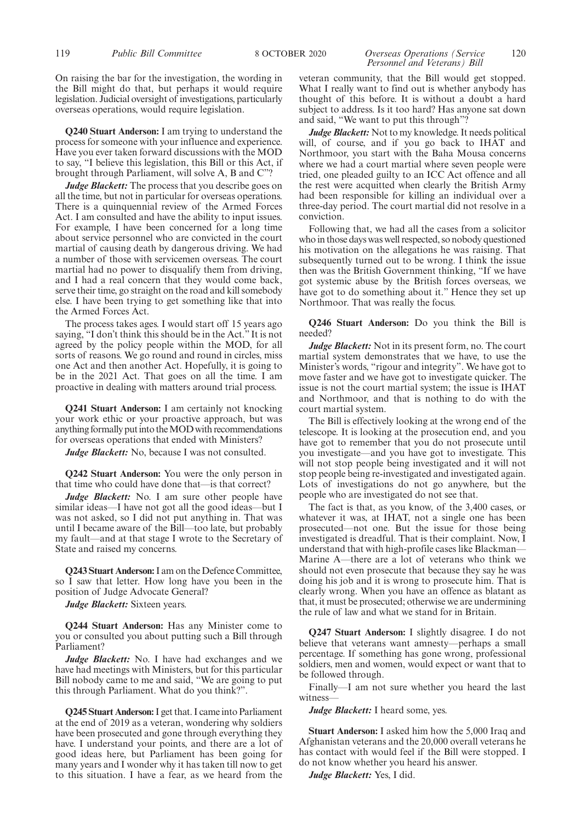#### On raising the bar for the investigation, the wording in the Bill might do that, but perhaps it would require legislation. Judicial oversight of investigations, particularly overseas operations, would require legislation.

**Q240 Stuart Anderson:** I am trying to understand the process for someone with your influence and experience. Have you ever taken forward discussions with the MOD to say, "I believe this legislation, this Bill or this Act, if brought through Parliament, will solve A, B and C"?

*Judge Blackett:* The process that you describe goes on all the time, but not in particular for overseas operations. There is a quinquennial review of the Armed Forces Act. I am consulted and have the ability to input issues. For example, I have been concerned for a long time about service personnel who are convicted in the court martial of causing death by dangerous driving. We had a number of those with servicemen overseas. The court martial had no power to disqualify them from driving, and I had a real concern that they would come back, serve their time, go straight on the road and kill somebody else. I have been trying to get something like that into the Armed Forces Act.

The process takes ages. I would start off 15 years ago saying, "I don't think this should be in the Act." It is not agreed by the policy people within the MOD, for all sorts of reasons. We go round and round in circles, miss one Act and then another Act. Hopefully, it is going to be in the 2021 Act. That goes on all the time. I am proactive in dealing with matters around trial process.

**Q241 Stuart Anderson:** I am certainly not knocking your work ethic or your proactive approach, but was anything formally put into the MOD with recommendations for overseas operations that ended with Ministers?

*Judge Blackett:* No, because I was not consulted.

**Q242 Stuart Anderson:** You were the only person in that time who could have done that—is that correct?

Judge Blackett: No. I am sure other people have similar ideas—I have not got all the good ideas—but I was not asked, so I did not put anything in. That was until I became aware of the Bill—too late, but probably my fault—and at that stage I wrote to the Secretary of State and raised my concerns.

**Q243 Stuart Anderson:**I am on the Defence Committee, so I saw that letter. How long have you been in the position of Judge Advocate General?

*Judge Blackett:* Sixteen years.

**Q244 Stuart Anderson:** Has any Minister come to you or consulted you about putting such a Bill through Parliament?

*Judge Blackett:* No. I have had exchanges and we have had meetings with Ministers, but for this particular Bill nobody came to me and said, "We are going to put this through Parliament. What do you think?".

**Q245 Stuart Anderson:**I get that. I came into Parliament at the end of 2019 as a veteran, wondering why soldiers have been prosecuted and gone through everything they have. I understand your points, and there are a lot of good ideas here, but Parliament has been going for many years and I wonder why it has taken till now to get to this situation. I have a fear, as we heard from the

#### 119 *Public Bill Committee* 8 OCTOBER 2020 *Overseas Operations (Service* 120 *Personnel and Veterans) Bill*

veteran community, that the Bill would get stopped. What I really want to find out is whether anybody has thought of this before. It is without a doubt a hard subject to address. Is it too hard? Has anyone sat down and said, "We want to put this through"?

*Judge Blackett:* Not to my knowledge. It needs political will, of course, and if you go back to IHAT and Northmoor, you start with the Baha Mousa concerns where we had a court martial where seven people were tried, one pleaded guilty to an ICC Act offence and all the rest were acquitted when clearly the British Army had been responsible for killing an individual over a three-day period. The court martial did not resolve in a conviction.

Following that, we had all the cases from a solicitor who in those days was well respected, so nobody questioned his motivation on the allegations he was raising. That subsequently turned out to be wrong. I think the issue then was the British Government thinking, "If we have got systemic abuse by the British forces overseas, we have got to do something about it." Hence they set up Northmoor. That was really the focus.

**Q246 Stuart Anderson:** Do you think the Bill is needed?

*Judge Blackett:* Not in its present form, no. The court martial system demonstrates that we have, to use the Minister's words, "rigour and integrity". We have got to move faster and we have got to investigate quicker. The issue is not the court martial system; the issue is IHAT and Northmoor, and that is nothing to do with the court martial system.

The Bill is effectively looking at the wrong end of the telescope. It is looking at the prosecution end, and you have got to remember that you do not prosecute until you investigate—and you have got to investigate. This will not stop people being investigated and it will not stop people being re-investigated and investigated again. Lots of investigations do not go anywhere, but the people who are investigated do not see that.

The fact is that, as you know, of the 3,400 cases, or whatever it was, at IHAT, not a single one has been prosecuted—not one. But the issue for those being investigated is dreadful. That is their complaint. Now, I understand that with high-profile cases like Blackman— Marine A—there are a lot of veterans who think we should not even prosecute that because they say he was doing his job and it is wrong to prosecute him. That is clearly wrong. When you have an offence as blatant as that, it must be prosecuted; otherwise we are undermining the rule of law and what we stand for in Britain.

**Q247 Stuart Anderson:** I slightly disagree. I do not believe that veterans want amnesty—perhaps a small percentage. If something has gone wrong, professional soldiers, men and women, would expect or want that to be followed through.

Finally—I am not sure whether you heard the last witness—

*Judge Blackett:* I heard some, yes.

**Stuart Anderson:** I asked him how the 5,000 Iraq and Afghanistan veterans and the 20,000 overall veterans he has contact with would feel if the Bill were stopped. I do not know whether you heard his answer.

*Judge Blackett:* Yes, I did.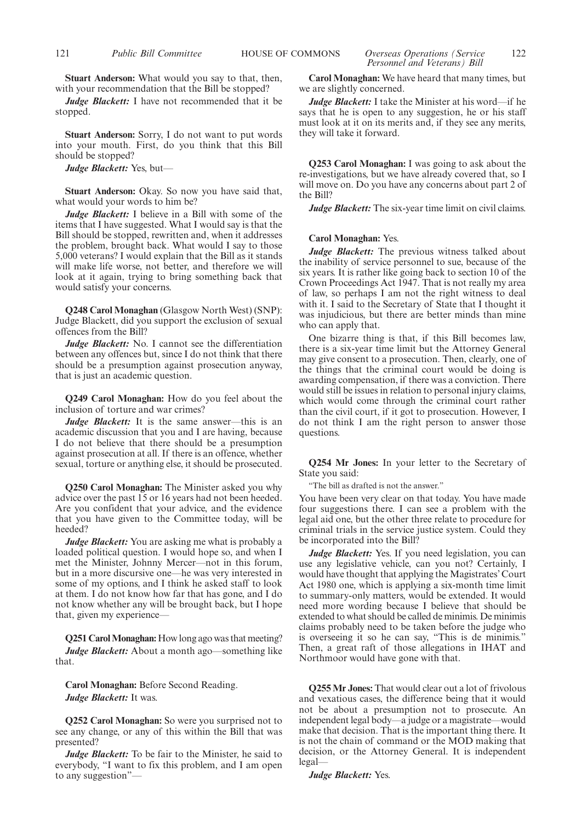*Judge Blackett:* I have not recommended that it be stopped.

**Stuart Anderson:** Sorry, I do not want to put words into your mouth. First, do you think that this Bill should be stopped?

*Judge Blackett:* Yes, but—

**Stuart Anderson:** Okay. So now you have said that, what would your words to him be?

*Judge Blackett:* I believe in a Bill with some of the items that I have suggested. What I would say is that the Bill should be stopped, rewritten and, when it addresses the problem, brought back. What would I say to those 5,000 veterans? I would explain that the Bill as it stands will make life worse, not better, and therefore we will look at it again, trying to bring something back that would satisfy your concerns.

**Q248 Carol Monaghan** (Glasgow North West) (SNP): Judge Blackett, did you support the exclusion of sexual offences from the Bill?

*Judge Blackett:* No. I cannot see the differentiation between any offences but, since I do not think that there should be a presumption against prosecution anyway, that is just an academic question.

**Q249 Carol Monaghan:** How do you feel about the inclusion of torture and war crimes?

*Judge Blackett:* It is the same answer—this is an academic discussion that you and I are having, because I do not believe that there should be a presumption against prosecution at all. If there is an offence, whether sexual, torture or anything else, it should be prosecuted.

**Q250 Carol Monaghan:** The Minister asked you why advice over the past 15 or 16 years had not been heeded. Are you confident that your advice, and the evidence that you have given to the Committee today, will be heeded?

*Judge Blackett:* You are asking me what is probably a loaded political question. I would hope so, and when I met the Minister, Johnny Mercer—not in this forum, but in a more discursive one—he was very interested in some of my options, and I think he asked staff to look at them. I do not know how far that has gone, and I do not know whether any will be brought back, but I hope that, given my experience—

**Q251 Carol Monaghan:** How long ago was that meeting? *Judge Blackett:* About a month ago—something like that.

**Carol Monaghan:** Before Second Reading. *Judge Blackett:* It was.

**Q252 Carol Monaghan:** So were you surprised not to see any change, or any of this within the Bill that was presented?

*Judge Blackett:* To be fair to the Minister, he said to everybody, "I want to fix this problem, and I am open to any suggestion"—

*Personnel and Veterans) Bill*

**Carol Monaghan:** We have heard that many times, but we are slightly concerned.

*Judge Blackett:* I take the Minister at his word—if he says that he is open to any suggestion, he or his staff must look at it on its merits and, if they see any merits, they will take it forward.

**Q253 Carol Monaghan:** I was going to ask about the re-investigations, but we have already covered that, so I will move on. Do you have any concerns about part 2 of the Bill?

*Judge Blackett:* The six-year time limit on civil claims.

#### **Carol Monaghan:** Yes.

*Judge Blackett:* The previous witness talked about the inability of service personnel to sue, because of the six years. It is rather like going back to section 10 of the Crown Proceedings Act 1947. That is not really my area of law, so perhaps I am not the right witness to deal with it. I said to the Secretary of State that I thought it was injudicious, but there are better minds than mine who can apply that.

One bizarre thing is that, if this Bill becomes law, there is a six-year time limit but the Attorney General may give consent to a prosecution. Then, clearly, one of the things that the criminal court would be doing is awarding compensation, if there was a conviction. There would still be issues in relation to personal injury claims, which would come through the criminal court rather than the civil court, if it got to prosecution. However, I do not think I am the right person to answer those questions.

**Q254 Mr Jones:** In your letter to the Secretary of State you said:

"The bill as drafted is not the answer."

You have been very clear on that today. You have made four suggestions there. I can see a problem with the legal aid one, but the other three relate to procedure for criminal trials in the service justice system. Could they be incorporated into the Bill?

*Judge Blackett:* Yes. If you need legislation, you can use any legislative vehicle, can you not? Certainly, I would have thought that applying the Magistrates' Court Act 1980 one, which is applying a six-month time limit to summary-only matters, would be extended. It would need more wording because I believe that should be extended to what should be called de minimis. De minimis claims probably need to be taken before the judge who is overseeing it so he can say, "This is de minimis." Then, a great raft of those allegations in IHAT and Northmoor would have gone with that.

**Q255 Mr Jones:** That would clear out a lot of frivolous and vexatious cases, the difference being that it would not be about a presumption not to prosecute. An independent legal body—a judge or a magistrate—would make that decision. That is the important thing there. It is not the chain of command or the MOD making that decision, or the Attorney General. It is independent legal—

*Judge Blackett:* Yes.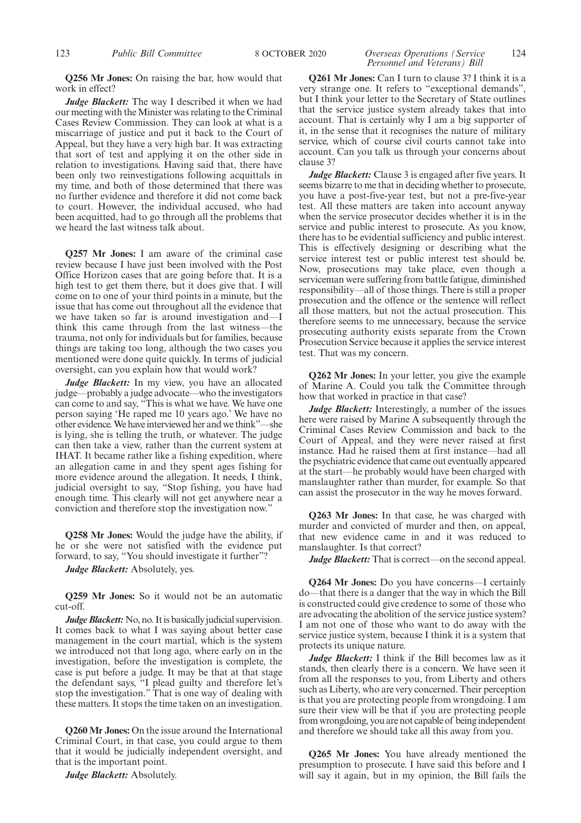## *Personnel and Veterans) Bill*

**Q256 Mr Jones:** On raising the bar, how would that work in effect?

*Judge Blackett:* The way I described it when we had our meeting with the Minister was relating to the Criminal Cases Review Commission. They can look at what is a miscarriage of justice and put it back to the Court of Appeal, but they have a very high bar. It was extracting that sort of test and applying it on the other side in relation to investigations. Having said that, there have been only two reinvestigations following acquittals in my time, and both of those determined that there was no further evidence and therefore it did not come back to court. However, the individual accused, who had been acquitted, had to go through all the problems that we heard the last witness talk about.

**Q257 Mr Jones:** I am aware of the criminal case review because I have just been involved with the Post Office Horizon cases that are going before that. It is a high test to get them there, but it does give that. I will come on to one of your third points in a minute, but the issue that has come out throughout all the evidence that we have taken so far is around investigation and—I think this came through from the last witness—the trauma, not only for individuals but for families, because things are taking too long, although the two cases you mentioned were done quite quickly. In terms of judicial oversight, can you explain how that would work?

*Judge Blackett:* In my view, you have an allocated judge—probably a judge advocate—who the investigators can come to and say, "This is what we have. We have one person saying 'He raped me 10 years ago.' We have no other evidence. We have interviewed her and we think"—she is lying, she is telling the truth, or whatever. The judge can then take a view, rather than the current system at IHAT. It became rather like a fishing expedition, where an allegation came in and they spent ages fishing for more evidence around the allegation. It needs, I think, judicial oversight to say, "Stop fishing, you have had enough time. This clearly will not get anywhere near a conviction and therefore stop the investigation now."

**Q258 Mr Jones:** Would the judge have the ability, if he or she were not satisfied with the evidence put forward, to say, "You should investigate it further"?

*Judge Blackett:* Absolutely, yes.

**Q259 Mr Jones:** So it would not be an automatic cut-off.

*Judge Blackett:* No, no. It is basically judicial supervision. It comes back to what I was saying about better case management in the court martial, which is the system we introduced not that long ago, where early on in the investigation, before the investigation is complete, the case is put before a judge. It may be that at that stage the defendant says, "I plead guilty and therefore let's stop the investigation." That is one way of dealing with these matters. It stops the time taken on an investigation.

**Q260 Mr Jones:** On the issue around the International Criminal Court, in that case, you could argue to them that it would be judicially independent oversight, and that is the important point.

*Judge Blackett:* Absolutely.

**Q261 Mr Jones:** Can I turn to clause 3? I think it is a very strange one. It refers to "exceptional demands", but I think your letter to the Secretary of State outlines that the service justice system already takes that into account. That is certainly why I am a big supporter of it, in the sense that it recognises the nature of military service, which of course civil courts cannot take into account. Can you talk us through your concerns about clause 3?

*Judge Blackett:* Clause 3 is engaged after five years. It seems bizarre to me that in deciding whether to prosecute, you have a post-five-year test, but not a pre-five-year test. All these matters are taken into account anyway when the service prosecutor decides whether it is in the service and public interest to prosecute. As you know, there has to be evidential sufficiency and public interest. This is effectively designing or describing what the service interest test or public interest test should be. Now, prosecutions may take place, even though a serviceman were suffering from battle fatigue, diminished responsibility—all of those things. There is still a proper prosecution and the offence or the sentence will reflect all those matters, but not the actual prosecution. This therefore seems to me unnecessary, because the service prosecuting authority exists separate from the Crown Prosecution Service because it applies the service interest test. That was my concern.

**Q262 Mr Jones:** In your letter, you give the example of Marine A. Could you talk the Committee through how that worked in practice in that case?

*Judge Blackett:* Interestingly, a number of the issues here were raised by Marine A subsequently through the Criminal Cases Review Commission and back to the Court of Appeal, and they were never raised at first instance. Had he raised them at first instance—had all the psychiatric evidence that came out eventually appeared at the start—he probably would have been charged with manslaughter rather than murder, for example. So that can assist the prosecutor in the way he moves forward.

**Q263 Mr Jones:** In that case, he was charged with murder and convicted of murder and then, on appeal, that new evidence came in and it was reduced to manslaughter. Is that correct?

*Judge Blackett:* That is correct—on the second appeal.

**Q264 Mr Jones:** Do you have concerns—I certainly do—that there is a danger that the way in which the Bill is constructed could give credence to some of those who are advocating the abolition of the service justice system? I am not one of those who want to do away with the service justice system, because I think it is a system that protects its unique nature.

*Judge Blackett:* I think if the Bill becomes law as it stands, then clearly there is a concern. We have seen it from all the responses to you, from Liberty and others such as Liberty, who are very concerned. Their perception is that you are protecting people from wrongdoing. I am sure their view will be that if you are protecting people from wrongdoing, you are not capable of being independent and therefore we should take all this away from you.

**Q265 Mr Jones:** You have already mentioned the presumption to prosecute. I have said this before and I will say it again, but in my opinion, the Bill fails the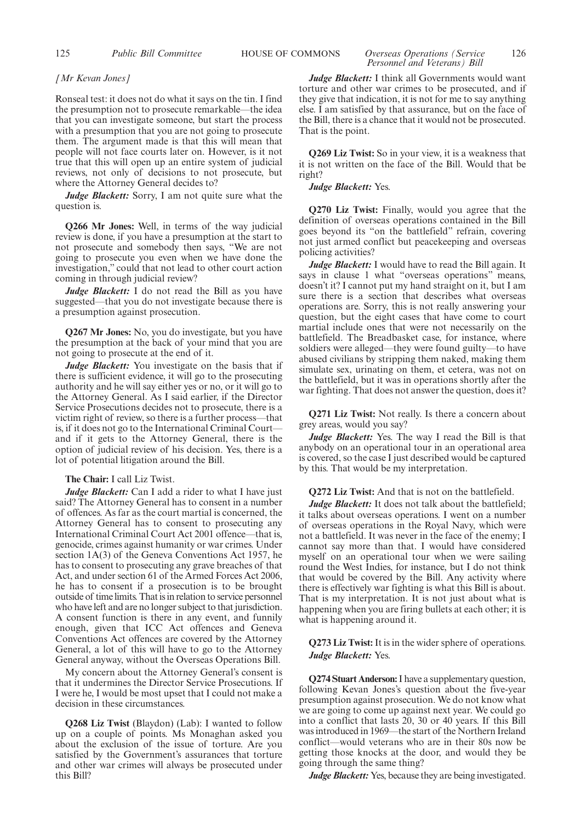#### 125 *Public Bill Committee* HOUSE OF COMMONS *Overseas Operations (Service* 126 *Personnel and Veterans) Bill*

#### *[Mr Kevan Jones]*

Ronseal test: it does not do what it says on the tin. I find the presumption not to prosecute remarkable—the idea that you can investigate someone, but start the process with a presumption that you are not going to prosecute them. The argument made is that this will mean that people will not face courts later on. However, is it not true that this will open up an entire system of judicial reviews, not only of decisions to not prosecute, but where the Attorney General decides to?

*Judge Blackett:* Sorry, I am not quite sure what the question is.

**Q266 Mr Jones:** Well, in terms of the way judicial review is done, if you have a presumption at the start to not prosecute and somebody then says, "We are not going to prosecute you even when we have done the investigation," could that not lead to other court action coming in through judicial review?

*Judge Blackett:* I do not read the Bill as you have suggested—that you do not investigate because there is a presumption against prosecution.

**Q267 Mr Jones:** No, you do investigate, but you have the presumption at the back of your mind that you are not going to prosecute at the end of it.

*Judge Blackett:* You investigate on the basis that if there is sufficient evidence, it will go to the prosecuting authority and he will say either yes or no, or it will go to the Attorney General. As I said earlier, if the Director Service Prosecutions decides not to prosecute, there is a victim right of review, so there is a further process—that is, if it does not go to the International Criminal Court and if it gets to the Attorney General, there is the option of judicial review of his decision. Yes, there is a lot of potential litigation around the Bill.

#### **The Chair:** I call Liz Twist.

*Judge Blackett:* Can I add a rider to what I have just said? The Attorney General has to consent in a number of offences. As far as the court martial is concerned, the Attorney General has to consent to prosecuting any International Criminal Court Act 2001 offence—that is, genocide, crimes against humanity or war crimes. Under section 1A(3) of the Geneva Conventions Act 1957, he has to consent to prosecuting any grave breaches of that Act, and under section 61 of the Armed Forces Act 2006, he has to consent if a prosecution is to be brought outside of time limits. That is in relation to service personnel who have left and are no longer subject to that jurisdiction. A consent function is there in any event, and funnily enough, given that ICC Act offences and Geneva Conventions Act offences are covered by the Attorney General, a lot of this will have to go to the Attorney General anyway, without the Overseas Operations Bill.

My concern about the Attorney General's consent is that it undermines the Director Service Prosecutions. If I were he, I would be most upset that I could not make a decision in these circumstances.

**Q268 Liz Twist** (Blaydon) (Lab): I wanted to follow up on a couple of points. Ms Monaghan asked you about the exclusion of the issue of torture. Are you satisfied by the Government's assurances that torture and other war crimes will always be prosecuted under this Bill?

*Judge Blackett:* I think all Governments would want torture and other war crimes to be prosecuted, and if they give that indication, it is not for me to say anything else. I am satisfied by that assurance, but on the face of the Bill, there is a chance that it would not be prosecuted. That is the point.

**Q269 Liz Twist:** So in your view, it is a weakness that it is not written on the face of the Bill. Would that be right?

#### *Judge Blackett:* Yes.

**Q270 Liz Twist:** Finally, would you agree that the definition of overseas operations contained in the Bill goes beyond its "on the battlefield" refrain, covering not just armed conflict but peacekeeping and overseas policing activities?

*Judge Blackett:* I would have to read the Bill again. It says in clause 1 what "overseas operations" means, doesn't it? I cannot put my hand straight on it, but I am sure there is a section that describes what overseas operations are. Sorry, this is not really answering your question, but the eight cases that have come to court martial include ones that were not necessarily on the battlefield. The Breadbasket case, for instance, where soldiers were alleged—they were found guilty—to have abused civilians by stripping them naked, making them simulate sex, urinating on them, et cetera, was not on the battlefield, but it was in operations shortly after the war fighting. That does not answer the question, does it?

**Q271 Liz Twist:** Not really. Is there a concern about grey areas, would you say?

*Judge Blackett:* Yes. The way I read the Bill is that anybody on an operational tour in an operational area is covered, so the case I just described would be captured by this. That would be my interpretation.

**Q272 Liz Twist:** And that is not on the battlefield.

*Judge Blackett:* It does not talk about the battlefield; it talks about overseas operations. I went on a number of overseas operations in the Royal Navy, which were not a battlefield. It was never in the face of the enemy; I cannot say more than that. I would have considered myself on an operational tour when we were sailing round the West Indies, for instance, but I do not think that would be covered by the Bill. Any activity where there is effectively war fighting is what this Bill is about. That is my interpretation. It is not just about what is happening when you are firing bullets at each other; it is what is happening around it.

#### **Q273 Liz Twist:**It is in the wider sphere of operations. *Judge Blackett:* Yes.

**Q274 Stuart Anderson:**I have a supplementary question, following Kevan Jones's question about the five-year presumption against prosecution. We do not know what we are going to come up against next year. We could go into a conflict that lasts 20, 30 or 40 years. If this Bill was introduced in 1969—the start of the Northern Ireland conflict—would veterans who are in their 80s now be getting those knocks at the door, and would they be going through the same thing?

*Judge Blackett:* Yes, because they are being investigated.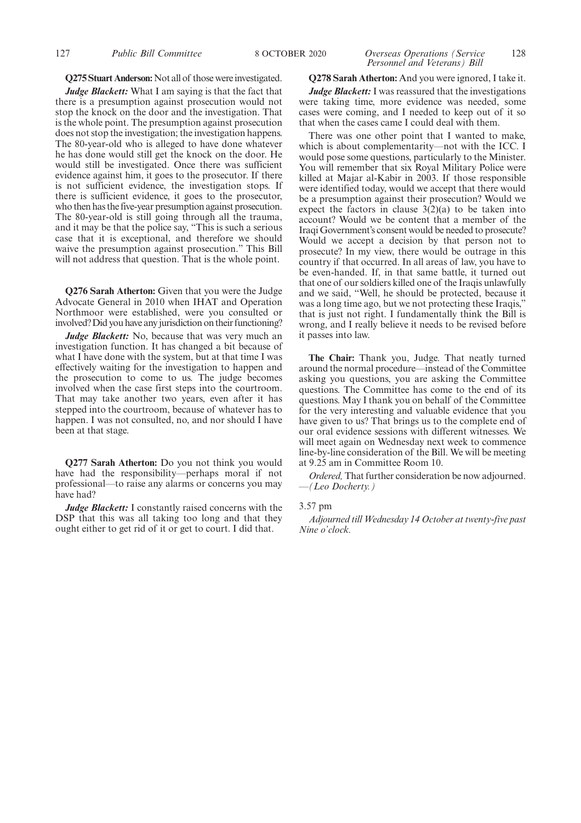#### 127 *Public Bill Committee* 8 OCTOBER 2020 *Overseas Operations (Service* 128 *Personnel and Veterans) Bill*

#### **Q275 Stuart Anderson:** Not all of those were investigated.

*Judge Blackett:* What I am saying is that the fact that there is a presumption against prosecution would not stop the knock on the door and the investigation. That is the whole point. The presumption against prosecution does not stop the investigation; the investigation happens. The 80-year-old who is alleged to have done whatever he has done would still get the knock on the door. He would still be investigated. Once there was sufficient evidence against him, it goes to the prosecutor. If there is not sufficient evidence, the investigation stops. If there is sufficient evidence, it goes to the prosecutor, who then has the five-year presumption against prosecution. The 80-year-old is still going through all the trauma, and it may be that the police say, "This is such a serious case that it is exceptional, and therefore we should waive the presumption against prosecution." This Bill will not address that question. That is the whole point.

**Q276 Sarah Atherton:** Given that you were the Judge Advocate General in 2010 when IHAT and Operation Northmoor were established, were you consulted or involved? Did you have any jurisdiction on their functioning?

*Judge Blackett:* No, because that was very much an investigation function. It has changed a bit because of what I have done with the system, but at that time I was effectively waiting for the investigation to happen and the prosecution to come to us. The judge becomes involved when the case first steps into the courtroom. That may take another two years, even after it has stepped into the courtroom, because of whatever has to happen. I was not consulted, no, and nor should I have been at that stage.

**Q277 Sarah Atherton:** Do you not think you would have had the responsibility—perhaps moral if not professional—to raise any alarms or concerns you may have had?

*Judge Blackett:* I constantly raised concerns with the DSP that this was all taking too long and that they ought either to get rid of it or get to court. I did that.

**Q278 Sarah Atherton:** And you were ignored, I take it. *Judge Blackett:* I was reassured that the investigations were taking time, more evidence was needed, some cases were coming, and I needed to keep out of it so that when the cases came I could deal with them.

There was one other point that I wanted to make, which is about complementarity—not with the ICC. I would pose some questions, particularly to the Minister. You will remember that six Royal Military Police were killed at Majar al-Kabir in 2003. If those responsible were identified today, would we accept that there would be a presumption against their prosecution? Would we expect the factors in clause  $3(2)(a)$  to be taken into account? Would we be content that a member of the Iraqi Government's consent would be needed to prosecute? Would we accept a decision by that person not to prosecute? In my view, there would be outrage in this country if that occurred. In all areas of law, you have to be even-handed. If, in that same battle, it turned out that one of our soldiers killed one of the Iraqis unlawfully and we said, "Well, he should be protected, because it was a long time ago, but we not protecting these Iraqis," that is just not right. I fundamentally think the Bill is wrong, and I really believe it needs to be revised before it passes into law.

**The Chair:** Thank you, Judge. That neatly turned around the normal procedure—instead of the Committee asking you questions, you are asking the Committee questions. The Committee has come to the end of its questions. May I thank you on behalf of the Committee for the very interesting and valuable evidence that you have given to us? That brings us to the complete end of our oral evidence sessions with different witnesses. We will meet again on Wednesday next week to commence line-by-line consideration of the Bill. We will be meeting at 9.25 am in Committee Room 10.

*Ordered,* That further consideration be now adjourned. —*(Leo Docherty.)*

#### 3.57 pm

*Adjourned till Wednesday 14 October at twenty-five past Nine o'clock.*